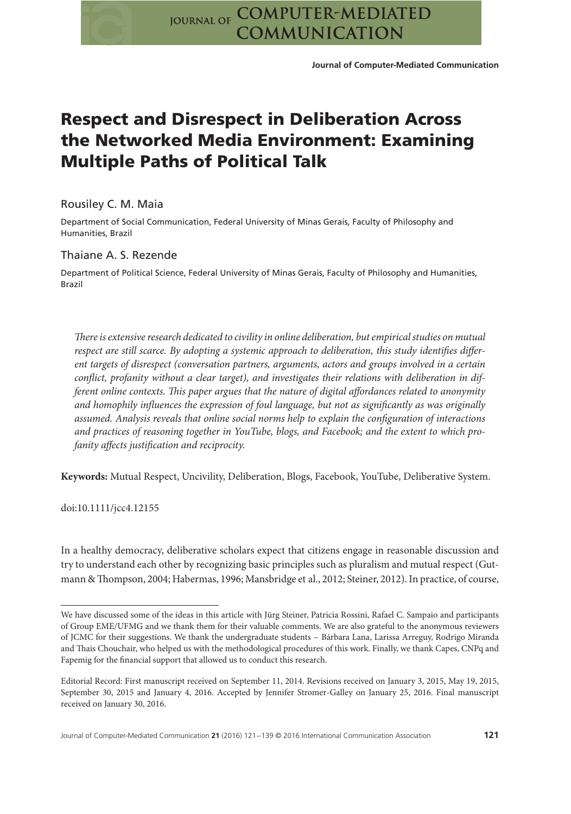# **Respect and Disrespect in Deliberation Across the Networked Media Environment: Examining Multiple Paths of Political Talk**

# Rousiley C. M. Maia

Department of Social Communication, Federal University of Minas Gerais, Faculty of Philosophy and Humanities, Brazil

# Thaiane A. S. Rezende

Department of Political Science, Federal University of Minas Gerais, Faculty of Philosophy and Humanities, Brazil

*There is extensive research dedicated to civility in online deliberation, but empirical studies on mutual respect are still scarce. By adopting a systemic approach to deliberation, this study identifies different targets of disrespect (conversation partners, arguments, actors and groups involved in a certain conflict, profanity without a clear target), and investigates their relations with deliberation in different online contexts. This paper argues that the nature of digital affordances related to anonymity and homophily influences the expression of foul language, but not as significantly as was originally assumed. Analysis reveals that online social norms help to explain the configuration of interactions and practices of reasoning together in YouTube, blogs, and Facebook; and the extent to which profanity affects justification and reciprocity.*

**Keywords:** Mutual Respect, Uncivility, Deliberation, Blogs, Facebook, YouTube, Deliberative System.

doi:10.1111/jcc4.12155

In a healthy democracy, deliberative scholars expect that citizens engage in reasonable discussion and try to understand each other by recognizing basic principles such as pluralism and mutual respect (Gutmann &Thompson, 2004; Habermas, 1996; Mansbridge et al., 2012; Steiner, 2012). In practice, of course,

We have discussed some of the ideas in this article with Jürg Steiner, Patricia Rossini, Rafael C. Sampaio and participants of Group EME/UFMG and we thank them for their valuable comments. We are also grateful to the anonymous reviewers of JCMC for their suggestions. We thank the undergraduate students – Bárbara Lana, Larissa Arreguy, Rodrigo Miranda and Thais Chouchair, who helped us with the methodological procedures of this work. Finally, we thank Capes, CNPq and Fapemig for the financial support that allowed us to conduct this research.

Editorial Record: First manuscript received on September 11, 2014. Revisions received on January 3, 2015, May 19, 2015, September 30, 2015 and January 4, 2016. Accepted by Jennifer Stromer-Galley on January 25, 2016. Final manuscript received on January 30, 2016.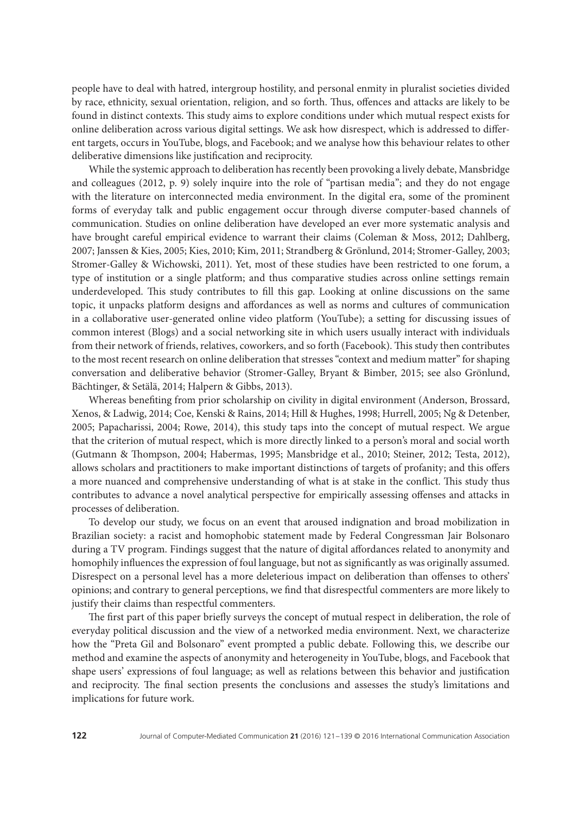people have to deal with hatred, intergroup hostility, and personal enmity in pluralist societies divided by race, ethnicity, sexual orientation, religion, and so forth. Thus, offences and attacks are likely to be found in distinct contexts. This study aims to explore conditions under which mutual respect exists for online deliberation across various digital settings. We ask how disrespect, which is addressed to different targets, occurs in YouTube, blogs, and Facebook; and we analyse how this behaviour relates to other deliberative dimensions like justification and reciprocity.

While the systemic approach to deliberation has recently been provoking a lively debate, Mansbridge and colleagues (2012, p. 9) solely inquire into the role of "partisan media"; and they do not engage with the literature on interconnected media environment. In the digital era, some of the prominent forms of everyday talk and public engagement occur through diverse computer-based channels of communication. Studies on online deliberation have developed an ever more systematic analysis and have brought careful empirical evidence to warrant their claims (Coleman & Moss, 2012; Dahlberg, 2007; Janssen & Kies, 2005; Kies, 2010; Kim, 2011; Strandberg & Grönlund, 2014; Stromer-Galley, 2003; Stromer-Galley & Wichowski, 2011). Yet, most of these studies have been restricted to one forum, a type of institution or a single platform; and thus comparative studies across online settings remain underdeveloped. This study contributes to fill this gap. Looking at online discussions on the same topic, it unpacks platform designs and affordances as well as norms and cultures of communication in a collaborative user-generated online video platform (YouTube); a setting for discussing issues of common interest (Blogs) and a social networking site in which users usually interact with individuals from their network of friends, relatives, coworkers, and so forth (Facebook). This study then contributes to the most recent research on online deliberation that stresses "context and medium matter" for shaping conversation and deliberative behavior (Stromer-Galley, Bryant & Bimber, 2015; see also Grönlund, Bächtinger, & Setälä, 2014; Halpern & Gibbs, 2013).

Whereas benefiting from prior scholarship on civility in digital environment (Anderson, Brossard, Xenos, & Ladwig, 2014; Coe, Kenski & Rains, 2014; Hill & Hughes, 1998; Hurrell, 2005; Ng & Detenber, 2005; Papacharissi, 2004; Rowe, 2014), this study taps into the concept of mutual respect. We argue that the criterion of mutual respect, which is more directly linked to a person's moral and social worth (Gutmann & Thompson, 2004; Habermas, 1995; Mansbridge et al., 2010; Steiner, 2012; Testa, 2012), allows scholars and practitioners to make important distinctions of targets of profanity; and this offers a more nuanced and comprehensive understanding of what is at stake in the conflict. This study thus contributes to advance a novel analytical perspective for empirically assessing offenses and attacks in processes of deliberation.

To develop our study, we focus on an event that aroused indignation and broad mobilization in Brazilian society: a racist and homophobic statement made by Federal Congressman Jair Bolsonaro during a TV program. Findings suggest that the nature of digital affordances related to anonymity and homophily influences the expression of foul language, but not as significantly as was originally assumed. Disrespect on a personal level has a more deleterious impact on deliberation than offenses to others' opinions; and contrary to general perceptions, we find that disrespectful commenters are more likely to justify their claims than respectful commenters.

The first part of this paper briefly surveys the concept of mutual respect in deliberation, the role of everyday political discussion and the view of a networked media environment. Next, we characterize how the "Preta Gil and Bolsonaro" event prompted a public debate. Following this, we describe our method and examine the aspects of anonymity and heterogeneity in YouTube, blogs, and Facebook that shape users' expressions of foul language; as well as relations between this behavior and justification and reciprocity. The final section presents the conclusions and assesses the study's limitations and implications for future work.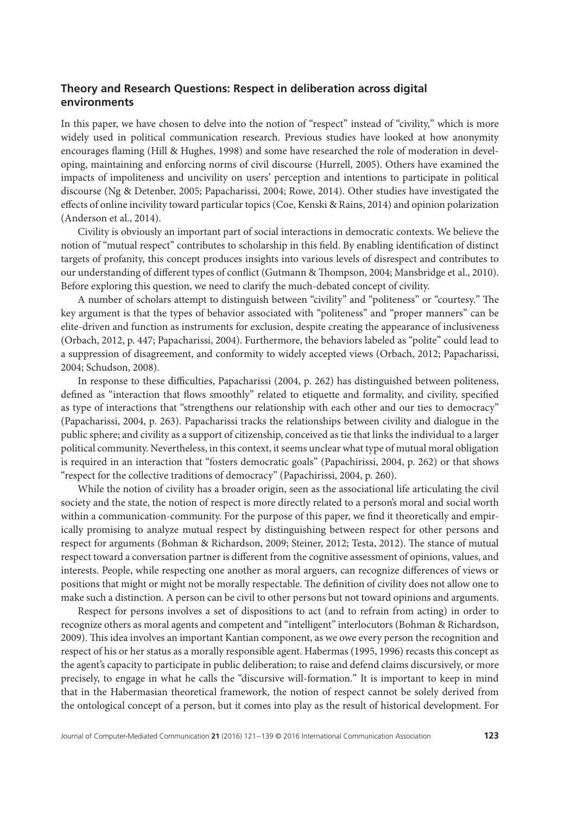# **Theory and Research Questions: Respect in deliberation across digital environments**

In this paper, we have chosen to delve into the notion of "respect" instead of "civility," which is more widely used in political communication research. Previous studies have looked at how anonymity encourages flaming (Hill & Hughes, 1998) and some have researched the role of moderation in developing, maintaining and enforcing norms of civil discourse (Hurrell, 2005). Others have examined the impacts of impoliteness and uncivility on users' perception and intentions to participate in political discourse (Ng & Detenber, 2005; Papacharissi, 2004; Rowe, 2014). Other studies have investigated the effects of online incivility toward particular topics (Coe, Kenski & Rains, 2014) and opinion polarization (Anderson et al., 2014).

Civility is obviously an important part of social interactions in democratic contexts. We believe the notion of "mutual respect" contributes to scholarship in this field. By enabling identification of distinct targets of profanity, this concept produces insights into various levels of disrespect and contributes to our understanding of different types of conflict (Gutmann & Thompson, 2004; Mansbridge et al., 2010). Before exploring this question, we need to clarify the much-debated concept of civility.

A number of scholars attempt to distinguish between "civility" and "politeness" or "courtesy." The key argument is that the types of behavior associated with "politeness" and "proper manners" can be elite-driven and function as instruments for exclusion, despite creating the appearance of inclusiveness (Orbach, 2012, p. 447; Papacharissi, 2004). Furthermore, the behaviors labeled as "polite" could lead to a suppression of disagreement, and conformity to widely accepted views (Orbach, 2012; Papacharissi, 2004; Schudson, 2008).

In response to these difficulties, Papacharissi (2004, p. 262) has distinguished between politeness, defined as "interaction that flows smoothly" related to etiquette and formality, and civility, specified as type of interactions that "strengthens our relationship with each other and our ties to democracy" (Papacharissi, 2004, p. 263). Papacharissi tracks the relationships between civility and dialogue in the public sphere; and civility as a support of citizenship, conceived as tie that links the individual to a larger political community. Nevertheless, in this context, it seems unclear what type of mutual moral obligation is required in an interaction that "fosters democratic goals" (Papachirissi, 2004, p. 262) or that shows "respect for the collective traditions of democracy" (Papachirissi, 2004, p. 260).

While the notion of civility has a broader origin, seen as the associational life articulating the civil society and the state, the notion of respect is more directly related to a person's moral and social worth within a communication-community. For the purpose of this paper, we find it theoretically and empirically promising to analyze mutual respect by distinguishing between respect for other persons and respect for arguments (Bohman & Richardson, 2009; Steiner, 2012; Testa, 2012). The stance of mutual respect toward a conversation partner is different from the cognitive assessment of opinions, values, and interests. People, while respecting one another as moral arguers, can recognize differences of views or positions that might or might not be morally respectable. The definition of civility does not allow one to make such a distinction. A person can be civil to other persons but not toward opinions and arguments.

Respect for persons involves a set of dispositions to act (and to refrain from acting) in order to recognize others as moral agents and competent and "intelligent" interlocutors (Bohman & Richardson, 2009). This idea involves an important Kantian component, as we owe every person the recognition and respect of his or her status as a morally responsible agent. Habermas (1995, 1996) recasts this concept as the agent's capacity to participate in public deliberation; to raise and defend claims discursively, or more precisely, to engage in what he calls the "discursive will-formation." It is important to keep in mind that in the Habermasian theoretical framework, the notion of respect cannot be solely derived from the ontological concept of a person, but it comes into play as the result of historical development. For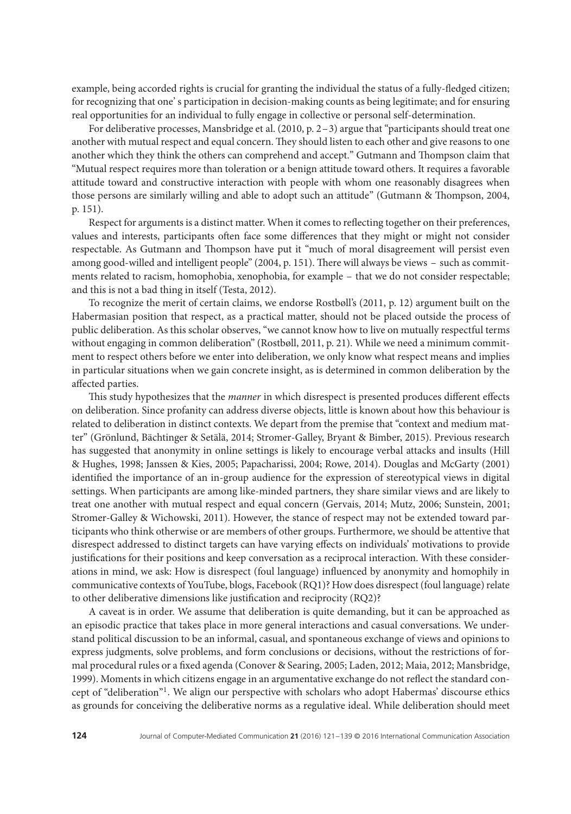example, being accorded rights is crucial for granting the individual the status of a fully-fledged citizen; for recognizing that one' s participation in decision-making counts as being legitimate; and for ensuring real opportunities for an individual to fully engage in collective or personal self-determination.

For deliberative processes, Mansbridge et al. (2010, p. 2–3) argue that "participants should treat one another with mutual respect and equal concern. They should listen to each other and give reasons to one another which they think the others can comprehend and accept." Gutmann and Thompson claim that "Mutual respect requires more than toleration or a benign attitude toward others. It requires a favorable attitude toward and constructive interaction with people with whom one reasonably disagrees when those persons are similarly willing and able to adopt such an attitude" (Gutmann & Thompson, 2004, p. 151).

Respect for arguments is a distinct matter. When it comes to reflecting together on their preferences, values and interests, participants often face some differences that they might or might not consider respectable. As Gutmann and Thompson have put it "much of moral disagreement will persist even among good-willed and intelligent people" (2004, p. 151). There will always be views – such as commitments related to racism, homophobia, xenophobia, for example – that we do not consider respectable; and this is not a bad thing in itself (Testa, 2012).

To recognize the merit of certain claims, we endorse Rostbøll's (2011, p. 12) argument built on the Habermasian position that respect, as a practical matter, should not be placed outside the process of public deliberation. As this scholar observes, "we cannot know how to live on mutually respectful terms without engaging in common deliberation" (Rostbøll, 2011, p. 21). While we need a minimum commitment to respect others before we enter into deliberation, we only know what respect means and implies in particular situations when we gain concrete insight, as is determined in common deliberation by the affected parties.

This study hypothesizes that the *manner* in which disrespect is presented produces different effects on deliberation. Since profanity can address diverse objects, little is known about how this behaviour is related to deliberation in distinct contexts. We depart from the premise that "context and medium matter" (Grönlund, Bächtinger & Setälä, 2014; Stromer-Galley, Bryant & Bimber, 2015). Previous research has suggested that anonymity in online settings is likely to encourage verbal attacks and insults (Hill & Hughes, 1998; Janssen & Kies, 2005; Papacharissi, 2004; Rowe, 2014). Douglas and McGarty (2001) identified the importance of an in-group audience for the expression of stereotypical views in digital settings. When participants are among like-minded partners, they share similar views and are likely to treat one another with mutual respect and equal concern (Gervais, 2014; Mutz, 2006; Sunstein, 2001; Stromer-Galley & Wichowski, 2011). However, the stance of respect may not be extended toward participants who think otherwise or are members of other groups. Furthermore, we should be attentive that disrespect addressed to distinct targets can have varying effects on individuals' motivations to provide justifications for their positions and keep conversation as a reciprocal interaction. With these considerations in mind, we ask: How is disrespect (foul language) influenced by anonymity and homophily in communicative contexts of YouTube, blogs, Facebook (RQ1)? How does disrespect (foul language) relate to other deliberative dimensions like justification and reciprocity (RQ2)?

A caveat is in order. We assume that deliberation is quite demanding, but it can be approached as an episodic practice that takes place in more general interactions and casual conversations. We understand political discussion to be an informal, casual, and spontaneous exchange of views and opinions to express judgments, solve problems, and form conclusions or decisions, without the restrictions of formal procedural rules or a fixed agenda (Conover & Searing, 2005; Laden, 2012; Maia, 2012; Mansbridge, 1999). Moments in which citizens engage in an argumentative exchange do not reflect the standard concept of "deliberation"1. We align our perspective with scholars who adopt Habermas' discourse ethics as grounds for conceiving the deliberative norms as a regulative ideal. While deliberation should meet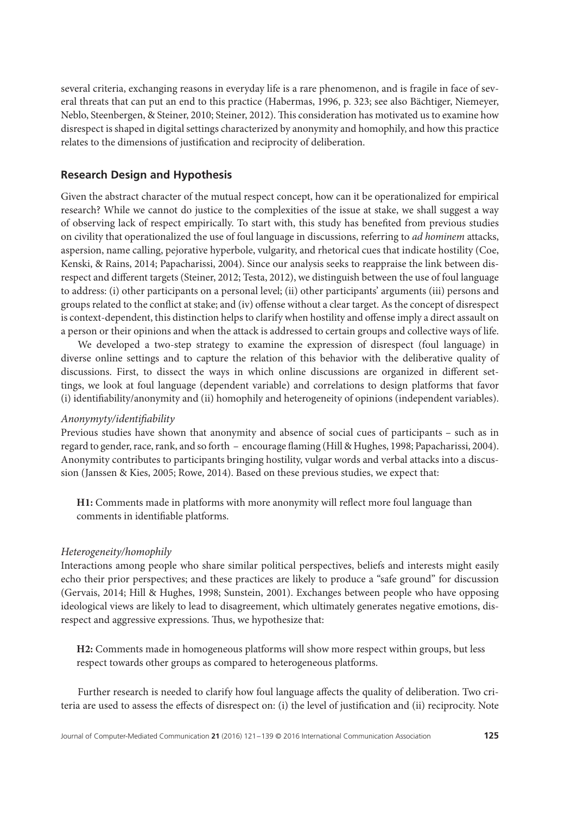several criteria, exchanging reasons in everyday life is a rare phenomenon, and is fragile in face of several threats that can put an end to this practice (Habermas, 1996, p. 323; see also Bächtiger, Niemeyer, Neblo, Steenbergen, & Steiner, 2010; Steiner, 2012). This consideration has motivated us to examine how disrespect is shaped in digital settings characterized by anonymity and homophily, and how this practice relates to the dimensions of justification and reciprocity of deliberation.

### **Research Design and Hypothesis**

Given the abstract character of the mutual respect concept, how can it be operationalized for empirical research? While we cannot do justice to the complexities of the issue at stake, we shall suggest a way of observing lack of respect empirically. To start with, this study has benefited from previous studies on civility that operationalized the use of foul language in discussions, referring to *ad hominem* attacks, aspersion, name calling, pejorative hyperbole, vulgarity, and rhetorical cues that indicate hostility (Coe, Kenski, & Rains, 2014; Papacharissi, 2004). Since our analysis seeks to reappraise the link between disrespect and different targets (Steiner, 2012; Testa, 2012), we distinguish between the use of foul language to address: (i) other participants on a personal level; (ii) other participants' arguments (iii) persons and groups related to the conflict at stake; and (iv) offense without a clear target. As the concept of disrespect is context-dependent, this distinction helps to clarify when hostility and offense imply a direct assault on a person or their opinions and when the attack is addressed to certain groups and collective ways of life.

We developed a two-step strategy to examine the expression of disrespect (foul language) in diverse online settings and to capture the relation of this behavior with the deliberative quality of discussions. First, to dissect the ways in which online discussions are organized in different settings, we look at foul language (dependent variable) and correlations to design platforms that favor (i) identifiability/anonymity and (ii) homophily and heterogeneity of opinions (independent variables).

#### *Anonymyty/identifiability*

Previous studies have shown that anonymity and absence of social cues of participants – such as in regard to gender, race, rank, and so forth – encourage flaming (Hill & Hughes, 1998; Papacharissi, 2004). Anonymity contributes to participants bringing hostility, vulgar words and verbal attacks into a discussion (Janssen & Kies, 2005; Rowe, 2014). Based on these previous studies, we expect that:

**H1:** Comments made in platforms with more anonymity will reflect more foul language than comments in identifiable platforms.

#### *Heterogeneity/homophily*

Interactions among people who share similar political perspectives, beliefs and interests might easily echo their prior perspectives; and these practices are likely to produce a "safe ground" for discussion (Gervais, 2014; Hill & Hughes, 1998; Sunstein, 2001). Exchanges between people who have opposing ideological views are likely to lead to disagreement, which ultimately generates negative emotions, disrespect and aggressive expressions. Thus, we hypothesize that:

**H2:** Comments made in homogeneous platforms will show more respect within groups, but less respect towards other groups as compared to heterogeneous platforms.

Further research is needed to clarify how foul language affects the quality of deliberation. Two criteria are used to assess the effects of disrespect on: (i) the level of justification and (ii) reciprocity. Note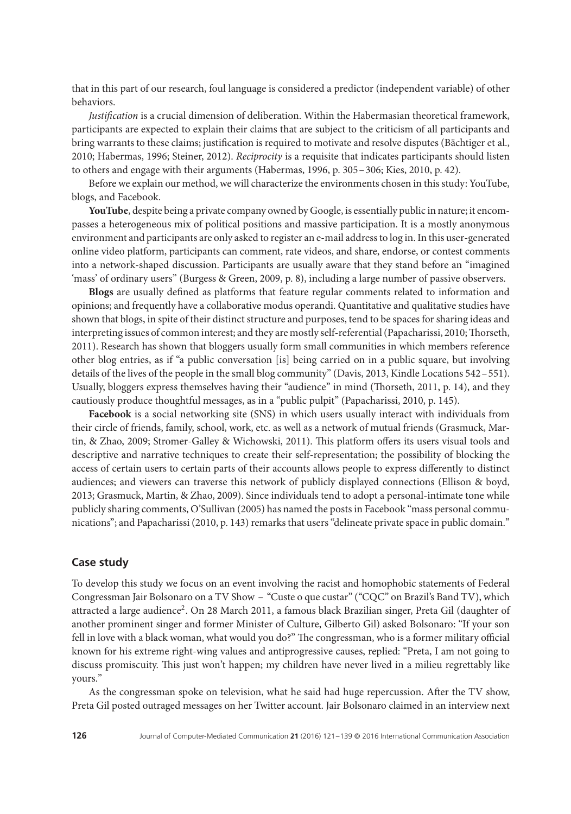that in this part of our research, foul language is considered a predictor (independent variable) of other behaviors.

*Justification* is a crucial dimension of deliberation. Within the Habermasian theoretical framework, participants are expected to explain their claims that are subject to the criticism of all participants and bring warrants to these claims; justification is required to motivate and resolve disputes (Bächtiger et al., 2010; Habermas, 1996; Steiner, 2012). *Reciprocity* is a requisite that indicates participants should listen to others and engage with their arguments (Habermas, 1996, p. 305–306; Kies, 2010, p. 42).

Before we explain our method, we will characterize the environments chosen in this study: YouTube, blogs, and Facebook.

**YouTube**, despite being a private company owned by Google, is essentially public in nature; it encompasses a heterogeneous mix of political positions and massive participation. It is a mostly anonymous environment and participants are only asked to register an e-mail address to log in. In this user-generated online video platform, participants can comment, rate videos, and share, endorse, or contest comments into a network-shaped discussion. Participants are usually aware that they stand before an "imagined 'mass' of ordinary users" (Burgess & Green, 2009, p. 8), including a large number of passive observers.

**Blogs** are usually defined as platforms that feature regular comments related to information and opinions; and frequently have a collaborative modus operandi. Quantitative and qualitative studies have shown that blogs, in spite of their distinct structure and purposes, tend to be spaces for sharing ideas and interpreting issues of common interest; and they are mostly self-referential (Papacharissi, 2010; Thorseth, 2011). Research has shown that bloggers usually form small communities in which members reference other blog entries, as if "a public conversation [is] being carried on in a public square, but involving details of the lives of the people in the small blog community" (Davis, 2013, Kindle Locations 542–551). Usually, bloggers express themselves having their "audience" in mind (Thorseth, 2011, p. 14), and they cautiously produce thoughtful messages, as in a "public pulpit" (Papacharissi, 2010, p. 145).

**Facebook** is a social networking site (SNS) in which users usually interact with individuals from their circle of friends, family, school, work, etc. as well as a network of mutual friends (Grasmuck, Martin, & Zhao, 2009; Stromer-Galley & Wichowski, 2011). This platform offers its users visual tools and descriptive and narrative techniques to create their self-representation; the possibility of blocking the access of certain users to certain parts of their accounts allows people to express differently to distinct audiences; and viewers can traverse this network of publicly displayed connections (Ellison & boyd, 2013; Grasmuck, Martin, & Zhao, 2009). Since individuals tend to adopt a personal-intimate tone while publicly sharing comments, O'Sullivan (2005) has named the posts in Facebook "mass personal communications"; and Papacharissi (2010, p. 143) remarks that users "delineate private space in public domain."

### **Case study**

To develop this study we focus on an event involving the racist and homophobic statements of Federal Congressman Jair Bolsonaro on a TV Show – "Custe o que custar" ("CQC" on Brazil's Band TV), which attracted a large audience<sup>2</sup>. On 28 March 2011, a famous black Brazilian singer, Preta Gil (daughter of another prominent singer and former Minister of Culture, Gilberto Gil) asked Bolsonaro: "If your son fell in love with a black woman, what would you do?" The congressman, who is a former military official known for his extreme right-wing values and antiprogressive causes, replied: "Preta, I am not going to discuss promiscuity. This just won't happen; my children have never lived in a milieu regrettably like yours."

As the congressman spoke on television, what he said had huge repercussion. After the TV show, Preta Gil posted outraged messages on her Twitter account. Jair Bolsonaro claimed in an interview next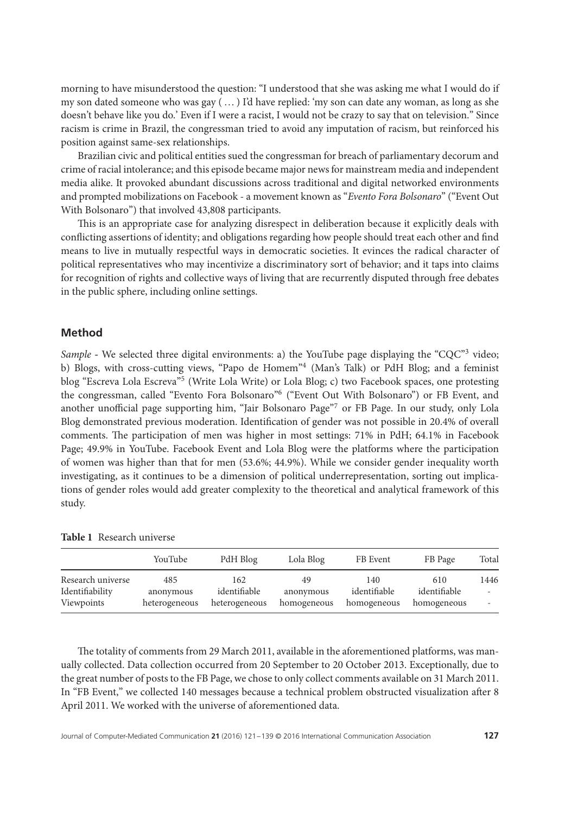morning to have misunderstood the question: "I understood that she was asking me what I would do if my son dated someone who was gay (… ) I'd have replied: 'my son can date any woman, as long as she doesn't behave like you do.' Even if I were a racist, I would not be crazy to say that on television." Since racism is crime in Brazil, the congressman tried to avoid any imputation of racism, but reinforced his position against same-sex relationships.

Brazilian civic and political entities sued the congressman for breach of parliamentary decorum and crime of racial intolerance; and this episode became major news for mainstream media and independent media alike. It provoked abundant discussions across traditional and digital networked environments and prompted mobilizations on Facebook - a movement known as "*Evento Fora Bolsonaro*" ("Event Out With Bolsonaro") that involved 43,808 participants.

This is an appropriate case for analyzing disrespect in deliberation because it explicitly deals with conflicting assertions of identity; and obligations regarding how people should treat each other and find means to live in mutually respectful ways in democratic societies. It evinces the radical character of political representatives who may incentivize a discriminatory sort of behavior; and it taps into claims for recognition of rights and collective ways of living that are recurrently disputed through free debates in the public sphere, including online settings.

# **Method**

*Sample -* We selected three digital environments: a) the YouTube page displaying the "CQC"<sup>3</sup> video; b) Blogs, with cross-cutting views, "Papo de Homem"4 (Man's Talk) or PdH Blog; and a feminist blog "Escreva Lola Escreva"<sup>5</sup> (Write Lola Write) or Lola Blog; c) two Facebook spaces, one protesting the congressman, called "Evento Fora Bolsonaro"<sup>6</sup> ("Event Out With Bolsonaro") or FB Event, and another unofficial page supporting him, "Jair Bolsonaro Page"7 or FB Page. In our study, only Lola Blog demonstrated previous moderation. Identification of gender was not possible in 20.4% of overall comments. The participation of men was higher in most settings: 71% in PdH; 64.1% in Facebook Page; 49.9% in YouTube. Facebook Event and Lola Blog were the platforms where the participation of women was higher than that for men (53.6%; 44.9%). While we consider gender inequality worth investigating, as it continues to be a dimension of political underrepresentation, sorting out implications of gender roles would add greater complexity to the theoretical and analytical framework of this study.

|                   | YouTube       | PdH Blog      | Lola Blog   | FB Event     | FB Page      | Total |
|-------------------|---------------|---------------|-------------|--------------|--------------|-------|
| Research universe | 485           | 162           | 49          | 140          | 610          | 1446  |
| Identifiability   | anonymous     | identifiable  | anonymous   | identifiable | identifiable |       |
| Viewpoints        | heterogeneous | heterogeneous | homogeneous | homogeneous  | homogeneous  |       |

The totality of comments from 29 March 2011, available in the aforementioned platforms, was manually collected. Data collection occurred from 20 September to 20 October 2013. Exceptionally, due to the great number of posts to the FB Page, we chose to only collect comments available on 31 March 2011. In "FB Event," we collected 140 messages because a technical problem obstructed visualization after 8 April 2011. We worked with the universe of aforementioned data.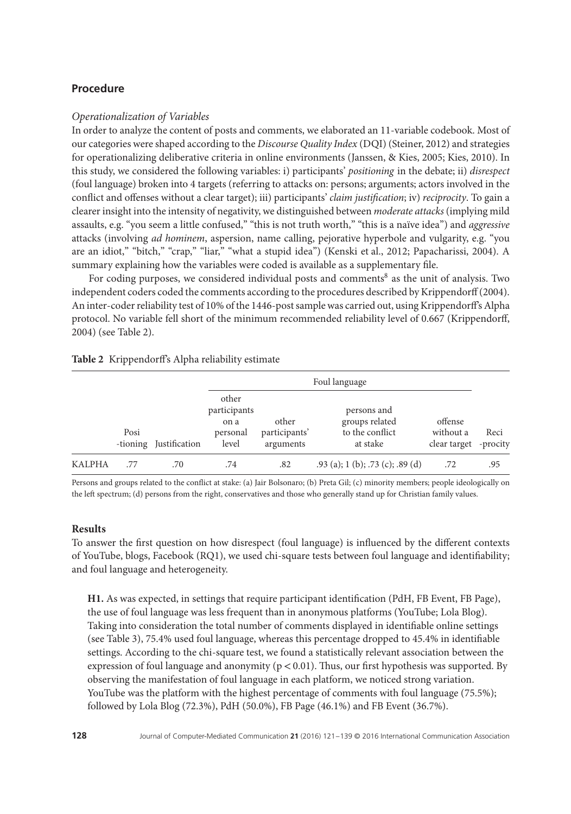## **Procedure**

#### *Operationalization of Variables*

In order to analyze the content of posts and comments, we elaborated an 11-variable codebook. Most of our categories were shaped according to the *Discourse Quality Index* (DQI) (Steiner, 2012) and strategies for operationalizing deliberative criteria in online environments (Janssen, & Kies, 2005; Kies, 2010). In this study, we considered the following variables: i) participants' *positioning* in the debate; ii) *disrespect* (foul language) broken into 4 targets (referring to attacks on: persons; arguments; actors involved in the conflict and offenses without a clear target); iii) participants' *claim justification*; iv) *reciprocity*. To gain a clearer insight into the intensity of negativity, we distinguished between *moderate attacks* (implying mild assaults, e.g. "you seem a little confused," "this is not truth worth," "this is a naïve idea") and *aggressive* attacks (involving *ad hominem*, aspersion, name calling, pejorative hyperbole and vulgarity, e.g. "you are an idiot," "bitch," "crap," "liar," "what a stupid idea") (Kenski et al., 2012; Papacharissi, 2004). A summary explaining how the variables were coded is available as a supplementary file.

For coding purposes, we considered individual posts and comments<sup>8</sup> as the unit of analysis. Two independent coders coded the comments according to the procedures described by Krippendorff (2004). An inter-coder reliability test of 10% of the 1446-post sample was carried out, using Krippendorff's Alpha protocol. No variable fell short of the minimum recommended reliability level of 0.667 (Krippendorff, 2004) (see Table 2).

#### **Table 2** Krippendorff's Alpha reliability estimate

|               |      |                        |                                                    | Foul language                       |                                                              |                                               |      |  |
|---------------|------|------------------------|----------------------------------------------------|-------------------------------------|--------------------------------------------------------------|-----------------------------------------------|------|--|
|               | Posi | -tioning Justification | other<br>participants<br>on a<br>personal<br>level | other<br>participants'<br>arguments | persons and<br>groups related<br>to the conflict<br>at stake | offense<br>without a<br>clear target -procity | Reci |  |
| <b>KALPHA</b> | .77  | .70                    | .74                                                | .82                                 | .93 (a); 1 (b); .73 (c); .89 (d)                             | .72                                           | .95  |  |

Persons and groups related to the conflict at stake: (a) Jair Bolsonaro; (b) Preta Gil; (c) minority members; people ideologically on the left spectrum; (d) persons from the right, conservatives and those who generally stand up for Christian family values.

#### **Results**

To answer the first question on how disrespect (foul language) is influenced by the different contexts of YouTube, blogs, Facebook (RQ1), we used chi-square tests between foul language and identifiability; and foul language and heterogeneity.

**H1.** As was expected, in settings that require participant identification (PdH, FB Event, FB Page), the use of foul language was less frequent than in anonymous platforms (YouTube; Lola Blog). Taking into consideration the total number of comments displayed in identifiable online settings (see Table 3), 75.4% used foul language, whereas this percentage dropped to 45.4% in identifiable settings. According to the chi-square test, we found a statistically relevant association between the expression of foul language and anonymity (p*<*0.01). Thus, our first hypothesis was supported. By observing the manifestation of foul language in each platform, we noticed strong variation. YouTube was the platform with the highest percentage of comments with foul language (75.5%); followed by Lola Blog (72.3%), PdH (50.0%), FB Page (46.1%) and FB Event (36.7%).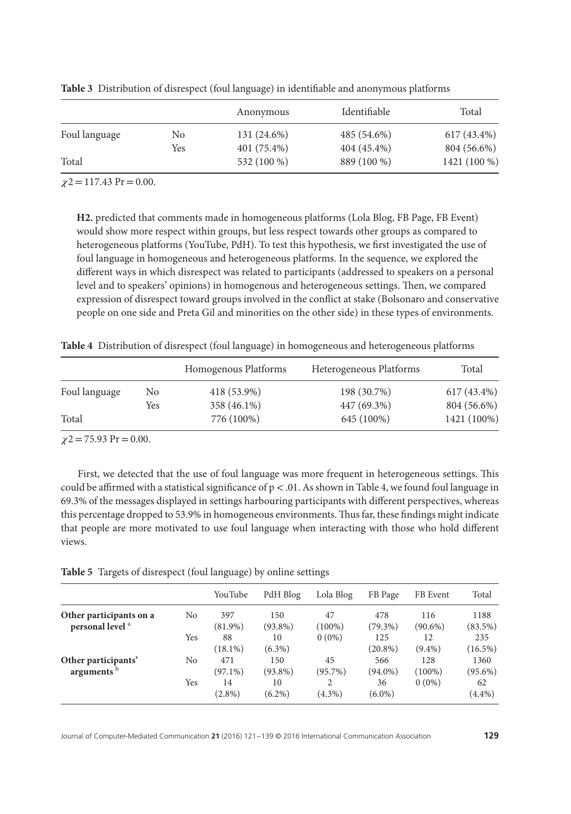|               |     | Anonymous   | Identifiable | Total        |
|---------------|-----|-------------|--------------|--------------|
| Foul language | No  | 131 (24.6%) | 485 (54.6%)  | 617 (43.4%)  |
|               | Yes | 401 (75.4%) | 404 (45.4%)  | 804 (56.6%)  |
| Total         |     | 532 (100 %) | 889 (100 %)  | 1421 (100 %) |

**Table 3** Distribution of disrespect (foul language) in identifiable and anonymous platforms

 $\chi$ 2 = 117.43 Pr = 0.00.

**H2.** predicted that comments made in homogeneous platforms (Lola Blog, FB Page, FB Event) would show more respect within groups, but less respect towards other groups as compared to heterogeneous platforms (YouTube, PdH). To test this hypothesis, we first investigated the use of foul language in homogeneous and heterogeneous platforms. In the sequence, we explored the different ways in which disrespect was related to participants (addressed to speakers on a personal level and to speakers' opinions) in homogenous and heterogeneous settings. Then, we compared expression of disrespect toward groups involved in the conflict at stake (Bolsonaro and conservative people on one side and Preta Gil and minorities on the other side) in these types of environments.

**Table 4** Distribution of disrespect (foul language) in homogeneous and heterogeneous platforms

|               |     | Homogenous Platforms | Heterogeneous Platforms | Total       |
|---------------|-----|----------------------|-------------------------|-------------|
| Foul language | No  | 418 (53.9%)          | 198 (30.7%)             | 617 (43.4%) |
|               | Yes | 358 (46.1%)          | 447 (69.3%)             | 804 (56.6%) |
| Total         |     | 776 (100%)           | 645 (100%)              | 1421 (100%) |

 $\chi$ 2 = 75.93 Pr = 0.00.

First, we detected that the use of foul language was more frequent in heterogeneous settings. This could be affirmed with a statistical significance of p *<*.01. As shown in Table 4, we found foul language in 69.3% of the messages displayed in settings harbouring participants with different perspectives, whereas this percentage dropped to 53.9% in homogeneous environments.Thus far, these findings might indicate that people are more motivated to use foul language when interacting with those who hold different views.

**Table 5** Targets of disrespect (foul language) by online settings

|                                                        |     | YouTube           | PdH Blog          | Lola Blog        | FB Page           | FB Event          | Total              |
|--------------------------------------------------------|-----|-------------------|-------------------|------------------|-------------------|-------------------|--------------------|
| Other participants on a<br>personal level <sup>a</sup> | No  | 397<br>$(81.9\%)$ | 150<br>$(93.8\%)$ | 47<br>$(100\%)$  | 478<br>$(79.3\%)$ | 116<br>$(90.6\%)$ | 1188<br>$(83.5\%)$ |
|                                                        | Yes | 88<br>$(18.1\%)$  | 10<br>$(6.3\%)$   | $0(0\%)$         | 125<br>$(20.8\%)$ | 12<br>$(9.4\%)$   | 235<br>$(16.5\%)$  |
| Other participants'<br>arguments $b$                   | No  | 471<br>$(97.1\%)$ | 150<br>$(93.8\%)$ | 45<br>$(95.7\%)$ | 566<br>$(94.0\%)$ | 128<br>$(100\%)$  | 1360<br>$(95.6\%)$ |
|                                                        | Yes | 14<br>$(2.8\%)$   | 10<br>$(6.2\%)$   | 2<br>$(4.3\%)$   | 36<br>$(6.0\%)$   | $0(0\%)$          | 62<br>$(4.4\%)$    |

Journal of Computer-Mediated Communication **21** (2016) 121–139 © 2016 International Communication Association **129**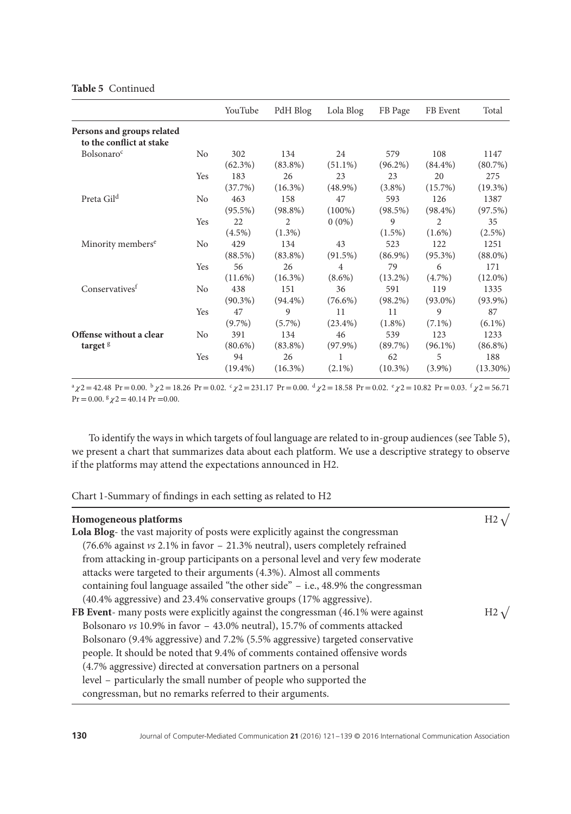# **Table 5** Continued

|                                                        |     | YouTube           | PdH Blog          | Lola Blog                    | FB Page           | FB Event          | Total              |
|--------------------------------------------------------|-----|-------------------|-------------------|------------------------------|-------------------|-------------------|--------------------|
| Persons and groups related<br>to the conflict at stake |     |                   |                   |                              |                   |                   |                    |
| Bolsonaro <sup>c</sup>                                 | No  | 302               | 134               | 24                           | 579               | 108               | 1147               |
|                                                        | Yes | $(62.3\%)$<br>183 | $(83.8\%)$<br>26  | $(51.1\%)$<br>23             | $(96.2\%)$<br>23  | $(84.4\%)$<br>20  | $(80.7\%)$<br>275  |
| Preta Gil <sup>d</sup>                                 | No  | $(37.7\%)$<br>463 | $(16.3\%)$<br>158 | $(48.9\%)$<br>47             | $(3.8\%)$<br>593  | $(15.7\%)$<br>126 | $(19.3\%)$<br>1387 |
|                                                        | Yes | $(95.5\%)$<br>22  | $(98.8\%)$<br>2   | $(100\%)$<br>$0(0\%)$        | $(98.5\%)$<br>9   | $(98.4\%)$<br>2   | (97.5%)<br>35      |
| Minority members <sup>e</sup>                          | No  | $(4.5\%)$<br>429  | $(1.3\%)$<br>134  | 43                           | $(1.5\%)$<br>523  | $(1.6\%)$<br>122  | $(2.5\%)$<br>1251  |
|                                                        | Yes | $(88.5\%)$<br>56  | $(83.8\%)$<br>26  | $(91.5\%)$<br>$\overline{4}$ | $(86.9\%)$<br>79  | $(95.3\%)$<br>6   | $(88.0\%)$<br>171  |
|                                                        |     | $(11.6\%)$        | $(16.3\%)$        | $(8.6\%)$                    | $(13.2\%)$        | $(4.7\%)$         | $(12.0\%)$         |
| Conservatives <sup>f</sup>                             | No  | 438<br>$(90.3\%)$ | 151<br>$(94.4\%)$ | 36<br>$(76.6\%)$             | 591<br>$(98.2\%)$ | 119<br>$(93.0\%)$ | 1335<br>$(93.9\%)$ |
|                                                        | Yes | 47<br>$(9.7\%)$   | 9<br>$(5.7\%)$    | 11<br>$(23.4\%)$             | 11<br>$(1.8\%)$   | 9<br>$(7.1\%)$    | 87<br>$(6.1\%)$    |
| Offense without a clear<br>target <sup>8</sup>         | No  | 391<br>$(80.6\%)$ | 134<br>$(83.8\%)$ | 46<br>$(97.9\%)$             | 539<br>$(89.7\%)$ | 123<br>$(96.1\%)$ | 1233<br>$(86.8\%)$ |
|                                                        | Yes | 94<br>$(19.4\%)$  | 26<br>$(16.3\%)$  | 1<br>$(2.1\%)$               | 62<br>$(10.3\%)$  | 5<br>$(3.9\%)$    | 188<br>$(13.30\%)$ |

 $a_{\chi^2} = 42.48 \text{ Pr} = 0.00.$   $b_{\chi^2} = 18.26 \text{ Pr} = 0.02.$   $c_{\chi^2} = 231.17 \text{ Pr} = 0.00.$   $d_{\chi^2} = 18.58 \text{ Pr} = 0.02.$   $c_{\chi^2} = 10.82 \text{ Pr} = 0.03.$   $f_{\chi^2} = 56.71$  $Pr = 0.00$ .  $\frac{g}{2} \times 2 = 40.14$   $Pr = 0.00$ .

To identify the ways in which targets of foul language are related to in-group audiences (see Table 5), we present a chart that summarizes data about each platform. We use a descriptive strategy to observe if the platforms may attend the expectations announced in H2.

Chart 1-Summary of findings in each setting as related to H2

| Homogeneous platforms                                                            | $H2_{\lambda}$ |
|----------------------------------------------------------------------------------|----------------|
| Lola Blog- the vast majority of posts were explicitly against the congressman    |                |
| $(76.6\%$ against vs 2.1% in favor - 21.3% neutral), users completely refrained  |                |
| from attacking in-group participants on a personal level and very few moderate   |                |
| attacks were targeted to their arguments (4.3%). Almost all comments             |                |
| containing foul language assailed "the other side" - i.e., 48.9% the congressman |                |
| (40.4% aggressive) and 23.4% conservative groups (17% aggressive).               |                |
| FB Event- many posts were explicitly against the congressman (46.1% were against | $H2\sqrt{ }$   |
| Bolsonaro vs 10.9% in favor - 43.0% neutral), 15.7% of comments attacked         |                |
| Bolsonaro (9.4% aggressive) and 7.2% (5.5% aggressive) targeted conservative     |                |
| people. It should be noted that 9.4% of comments contained offensive words       |                |
| (4.7% aggressive) directed at conversation partners on a personal                |                |
| level – particularly the small number of people who supported the                |                |
| congressman, but no remarks referred to their arguments.                         |                |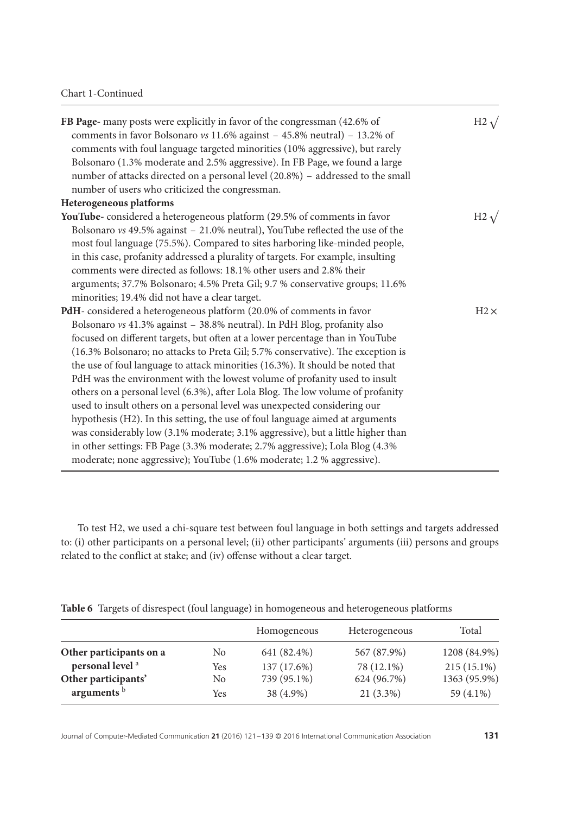#### Chart 1-Continued

| FB Page- many posts were explicitly in favor of the congressman (42.6% of<br>comments in favor Bolsonaro vs 11.6% against - 45.8% neutral) - 13.2% of<br>comments with foul language targeted minorities (10% aggressive), but rarely<br>Bolsonaro (1.3% moderate and 2.5% aggressive). In FB Page, we found a large<br>number of attacks directed on a personal level (20.8%) - addressed to the small<br>number of users who criticized the congressman. | $H2\sqrt{}$ |
|------------------------------------------------------------------------------------------------------------------------------------------------------------------------------------------------------------------------------------------------------------------------------------------------------------------------------------------------------------------------------------------------------------------------------------------------------------|-------------|
| Heterogeneous platforms                                                                                                                                                                                                                                                                                                                                                                                                                                    |             |
| YouTube-considered a heterogeneous platform (29.5% of comments in favor                                                                                                                                                                                                                                                                                                                                                                                    | $H2\sqrt{}$ |
| Bolsonaro vs 49.5% against - 21.0% neutral), YouTube reflected the use of the                                                                                                                                                                                                                                                                                                                                                                              |             |
| most foul language (75.5%). Compared to sites harboring like-minded people,                                                                                                                                                                                                                                                                                                                                                                                |             |
| in this case, profanity addressed a plurality of targets. For example, insulting                                                                                                                                                                                                                                                                                                                                                                           |             |
| comments were directed as follows: 18.1% other users and 2.8% their                                                                                                                                                                                                                                                                                                                                                                                        |             |
| arguments; 37.7% Bolsonaro; 4.5% Preta Gil; 9.7 % conservative groups; 11.6%                                                                                                                                                                                                                                                                                                                                                                               |             |
| minorities; 19.4% did not have a clear target.                                                                                                                                                                                                                                                                                                                                                                                                             |             |
| PdH-considered a heterogeneous platform (20.0% of comments in favor                                                                                                                                                                                                                                                                                                                                                                                        | $H2 \times$ |
| Bolsonaro vs 41.3% against - 38.8% neutral). In PdH Blog, profanity also                                                                                                                                                                                                                                                                                                                                                                                   |             |
| focused on different targets, but often at a lower percentage than in YouTube                                                                                                                                                                                                                                                                                                                                                                              |             |
| (16.3% Bolsonaro; no attacks to Preta Gil; 5.7% conservative). The exception is                                                                                                                                                                                                                                                                                                                                                                            |             |
| the use of foul language to attack minorities (16.3%). It should be noted that                                                                                                                                                                                                                                                                                                                                                                             |             |
| PdH was the environment with the lowest volume of profanity used to insult                                                                                                                                                                                                                                                                                                                                                                                 |             |
| others on a personal level (6.3%), after Lola Blog. The low volume of profanity                                                                                                                                                                                                                                                                                                                                                                            |             |
| used to insult others on a personal level was unexpected considering our                                                                                                                                                                                                                                                                                                                                                                                   |             |
| hypothesis (H2). In this setting, the use of foul language aimed at arguments                                                                                                                                                                                                                                                                                                                                                                              |             |
| was considerably low (3.1% moderate; 3.1% aggressive), but a little higher than                                                                                                                                                                                                                                                                                                                                                                            |             |
| in other settings: FB Page (3.3% moderate; 2.7% aggressive); Lola Blog (4.3%                                                                                                                                                                                                                                                                                                                                                                               |             |
| moderate; none aggressive); YouTube (1.6% moderate; 1.2 % aggressive).                                                                                                                                                                                                                                                                                                                                                                                     |             |

To test H2, we used a chi-square test between foul language in both settings and targets addressed to: (i) other participants on a personal level; (ii) other participants' arguments (iii) persons and groups related to the conflict at stake; and (iv) offense without a clear target.

**Table 6** Targets of disrespect (foul language) in homogeneous and heterogeneous platforms

|                             |     | Homogeneous | Heterogeneous | Total         |
|-----------------------------|-----|-------------|---------------|---------------|
| Other participants on a     | No  | 641 (82.4%) | 567 (87.9%)   | 1208 (84.9%)  |
| personal level <sup>a</sup> | Yes | 137 (17.6%) | 78 (12.1%)    | $215(15.1\%)$ |
| Other participants'         | No  | 739 (95.1%) | 624 (96.7%)   | 1363 (95.9%)  |
| arguments $b$               | Yes | 38 (4.9%)   | $21(3.3\%)$   | 59 (4.1%)     |

Journal of Computer-Mediated Communication **21** (2016) 121–139 © 2016 International Communication Association **131**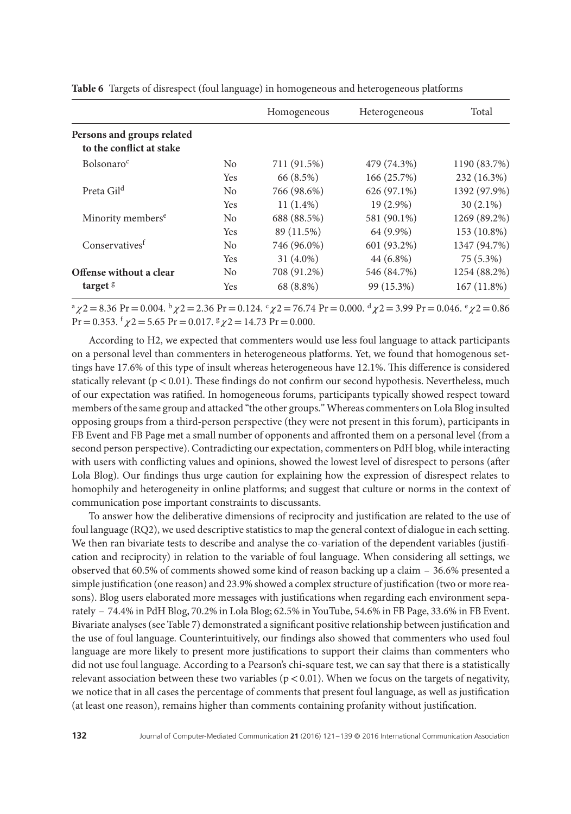|                                                        |            | Homogeneous | Heterogeneous | Total        |
|--------------------------------------------------------|------------|-------------|---------------|--------------|
| Persons and groups related<br>to the conflict at stake |            |             |               |              |
| Bolsonaro <sup>c</sup>                                 | No         | 711 (91.5%) | 479 (74.3%)   | 1190 (83.7%) |
|                                                        | <b>Yes</b> | 66 (8.5%)   | 166 (25.7%)   | 232 (16.3%)  |
| Preta Gil <sup>d</sup>                                 | No         | 766 (98.6%) | 626 (97.1%)   | 1392 (97.9%) |
|                                                        | <b>Yes</b> | $11(1.4\%)$ | 19 (2.9%)     | $30(2.1\%)$  |
| Minority members <sup>e</sup>                          | No         | 688 (88.5%) | 581 (90.1%)   | 1269 (89.2%) |
|                                                        | <b>Yes</b> | 89 (11.5%)  | 64 (9.9%)     | 153 (10.8%)  |
| Conservatives <sup>f</sup>                             | No         | 746 (96.0%) | 601 (93.2%)   | 1347 (94.7%) |
|                                                        | <b>Yes</b> | $31(4.0\%)$ | 44 (6.8%)     | 75 (5.3%)    |
| Offense without a clear                                | No         | 708 (91.2%) | 546 (84.7%)   | 1254 (88.2%) |
| target <sup>8</sup>                                    | <b>Yes</b> | 68 (8.8%)   | 99 (15.3%)    | 167(11.8%)   |

**Table 6** Targets of disrespect (foul language) in homogeneous and heterogeneous platforms

 $a_{\chi}$ 2 = 8.36 Pr = 0.004.  $b_{\chi}$ 2 = 2.36 Pr = 0.124.  $c_{\chi}$ 2 = 76.74 Pr = 0.000.  $d_{\chi}$ 2 = 3.99 Pr = 0.046.  $c_{\chi}$ 2 = 0.86  $Pr = 0.353$ .  $f \chi^2 = 5.65$   $Pr = 0.017$ .  $g \chi^2 = 14.73$   $Pr = 0.000$ .

According to H2, we expected that commenters would use less foul language to attack participants on a personal level than commenters in heterogeneous platforms. Yet, we found that homogenous settings have 17.6% of this type of insult whereas heterogeneous have 12.1%. This difference is considered statically relevant (p *<*0.01). These findings do not confirm our second hypothesis. Nevertheless, much of our expectation was ratified. In homogeneous forums, participants typically showed respect toward members of the same group and attacked "the other groups." Whereas commenters on Lola Blog insulted opposing groups from a third-person perspective (they were not present in this forum), participants in FB Event and FB Page met a small number of opponents and affronted them on a personal level (from a second person perspective). Contradicting our expectation, commenters on PdH blog, while interacting with users with conflicting values and opinions, showed the lowest level of disrespect to persons (after Lola Blog). Our findings thus urge caution for explaining how the expression of disrespect relates to homophily and heterogeneity in online platforms; and suggest that culture or norms in the context of communication pose important constraints to discussants.

To answer how the deliberative dimensions of reciprocity and justification are related to the use of foul language (RQ2), we used descriptive statistics to map the general context of dialogue in each setting. We then ran bivariate tests to describe and analyse the co-variation of the dependent variables (justification and reciprocity) in relation to the variable of foul language. When considering all settings, we observed that 60.5% of comments showed some kind of reason backing up a claim – 36.6% presented a simple justification (one reason) and 23.9% showed a complex structure of justification (two or more reasons). Blog users elaborated more messages with justifications when regarding each environment separately – 74.4% in PdH Blog, 70.2% in Lola Blog; 62.5% in YouTube, 54.6% in FB Page, 33.6% in FB Event. Bivariate analyses (see Table 7) demonstrated a significant positive relationship between justification and the use of foul language. Counterintuitively, our findings also showed that commenters who used foul language are more likely to present more justifications to support their claims than commenters who did not use foul language. According to a Pearson's chi-square test, we can say that there is a statistically relevant association between these two variables ( $p < 0.01$ ). When we focus on the targets of negativity, we notice that in all cases the percentage of comments that present foul language, as well as justification (at least one reason), remains higher than comments containing profanity without justification.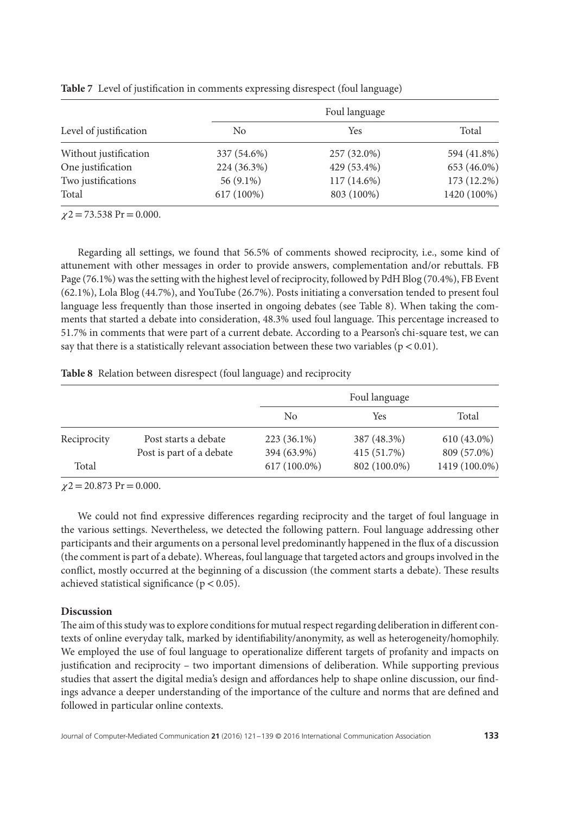|                        |             | Foul language |             |
|------------------------|-------------|---------------|-------------|
| Level of justification | No          | Yes           | Total       |
| Without justification  | 337 (54.6%) | 257 (32.0%)   | 594 (41.8%) |
| One justification      | 224 (36.3%) | 429 (53.4%)   | 653 (46.0%) |
| Two justifications     | 56 (9.1%)   | 117 (14.6%)   | 173 (12.2%) |
| Total                  | 617 (100%)  | 803 (100%)    | 1420 (100%) |

**Table 7** Level of justification in comments expressing disrespect (foul language)

 $\chi$ 2 = 73.538 Pr = 0.000.

Regarding all settings, we found that 56.5% of comments showed reciprocity, i.e., some kind of attunement with other messages in order to provide answers, complementation and/or rebuttals. FB Page (76.1%) was the setting with the highest level of reciprocity, followed by PdH Blog (70.4%), FB Event (62.1%), Lola Blog (44.7%), and YouTube (26.7%). Posts initiating a conversation tended to present foul language less frequently than those inserted in ongoing debates (see Table 8). When taking the comments that started a debate into consideration, 48.3% used foul language. This percentage increased to 51.7% in comments that were part of a current debate. According to a Pearson's chi-square test, we can say that there is a statistically relevant association between these two variables (p *<*0.01).

|  |  |  | Table 8 Relation between disrespect (foul language) and reciprocity |  |  |  |  |
|--|--|--|---------------------------------------------------------------------|--|--|--|--|
|--|--|--|---------------------------------------------------------------------|--|--|--|--|

|             |                          | Foul language  |              |               |  |
|-------------|--------------------------|----------------|--------------|---------------|--|
|             |                          | No             | Yes          | Total         |  |
| Reciprocity | Post starts a debate     | 223 (36.1%)    | 387 (48.3%)  | 610 (43.0%)   |  |
|             | Post is part of a debate | 394 (63.9%)    | 415 (51.7%)  | 809 (57.0%)   |  |
| Total       |                          | $617(100.0\%)$ | 802 (100.0%) | 1419 (100.0%) |  |

 $\chi$ 2 = 20.873 Pr = 0.000.

We could not find expressive differences regarding reciprocity and the target of foul language in the various settings. Nevertheless, we detected the following pattern. Foul language addressing other participants and their arguments on a personal level predominantly happened in the flux of a discussion (the comment is part of a debate). Whereas, foul language that targeted actors and groups involved in the conflict, mostly occurred at the beginning of a discussion (the comment starts a debate). These results achieved statistical significance (p*<*0.05).

#### **Discussion**

The aim of this study was to explore conditions for mutual respect regarding deliberation in different contexts of online everyday talk, marked by identifiability/anonymity, as well as heterogeneity/homophily. We employed the use of foul language to operationalize different targets of profanity and impacts on justification and reciprocity – two important dimensions of deliberation. While supporting previous studies that assert the digital media's design and affordances help to shape online discussion, our findings advance a deeper understanding of the importance of the culture and norms that are defined and followed in particular online contexts.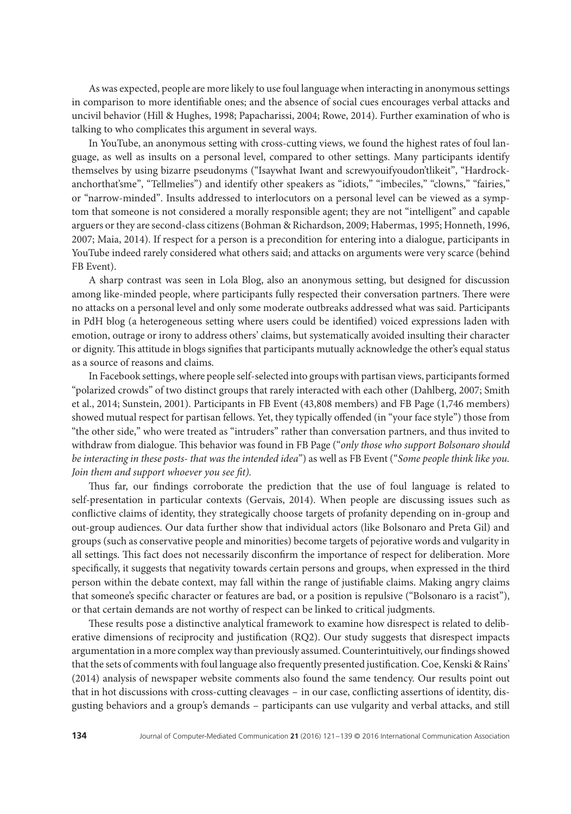As was expected, people are more likely to use foul language when interacting in anonymous settings in comparison to more identifiable ones; and the absence of social cues encourages verbal attacks and uncivil behavior (Hill & Hughes, 1998; Papacharissi, 2004; Rowe, 2014). Further examination of who is talking to who complicates this argument in several ways.

In YouTube, an anonymous setting with cross-cutting views, we found the highest rates of foul language, as well as insults on a personal level, compared to other settings. Many participants identify themselves by using bizarre pseudonyms ("Isaywhat Iwant and screwyouifyoudon'tlikeit", "Hardrockanchorthat'sme", "Tellmelies") and identify other speakers as "idiots," "imbeciles," "clowns," "fairies," or "narrow-minded". Insults addressed to interlocutors on a personal level can be viewed as a symptom that someone is not considered a morally responsible agent; they are not "intelligent" and capable arguers or they are second-class citizens (Bohman & Richardson, 2009; Habermas, 1995; Honneth, 1996, 2007; Maia, 2014). If respect for a person is a precondition for entering into a dialogue, participants in YouTube indeed rarely considered what others said; and attacks on arguments were very scarce (behind FB Event).

A sharp contrast was seen in Lola Blog, also an anonymous setting, but designed for discussion among like-minded people, where participants fully respected their conversation partners. There were no attacks on a personal level and only some moderate outbreaks addressed what was said. Participants in PdH blog (a heterogeneous setting where users could be identified) voiced expressions laden with emotion, outrage or irony to address others' claims, but systematically avoided insulting their character or dignity. This attitude in blogs signifies that participants mutually acknowledge the other's equal status as a source of reasons and claims.

In Facebook settings, where people self-selected into groups with partisan views, participants formed "polarized crowds" of two distinct groups that rarely interacted with each other (Dahlberg, 2007; Smith et al., 2014; Sunstein, 2001). Participants in FB Event (43,808 members) and FB Page (1,746 members) showed mutual respect for partisan fellows. Yet, they typically offended (in "your face style") those from "the other side," who were treated as "intruders" rather than conversation partners, and thus invited to withdraw from dialogue. This behavior was found in FB Page ("*only those who support Bolsonaro should be interacting in these posts- that was the intended idea*") as well as FB Event ("*Some people think like you. Join them and support whoever you see fit).*

Thus far, our findings corroborate the prediction that the use of foul language is related to self-presentation in particular contexts (Gervais, 2014). When people are discussing issues such as conflictive claims of identity, they strategically choose targets of profanity depending on in-group and out-group audiences. Our data further show that individual actors (like Bolsonaro and Preta Gil) and groups (such as conservative people and minorities) become targets of pejorative words and vulgarity in all settings. This fact does not necessarily disconfirm the importance of respect for deliberation. More specifically, it suggests that negativity towards certain persons and groups, when expressed in the third person within the debate context, may fall within the range of justifiable claims. Making angry claims that someone's specific character or features are bad, or a position is repulsive ("Bolsonaro is a racist"), or that certain demands are not worthy of respect can be linked to critical judgments.

These results pose a distinctive analytical framework to examine how disrespect is related to deliberative dimensions of reciprocity and justification (RQ2). Our study suggests that disrespect impacts argumentation in a more complex way than previously assumed. Counterintuitively, our findings showed that the sets of comments with foul language also frequently presented justification. Coe, Kenski & Rains' (2014) analysis of newspaper website comments also found the same tendency. Our results point out that in hot discussions with cross-cutting cleavages – in our case, conflicting assertions of identity, disgusting behaviors and a group's demands – participants can use vulgarity and verbal attacks, and still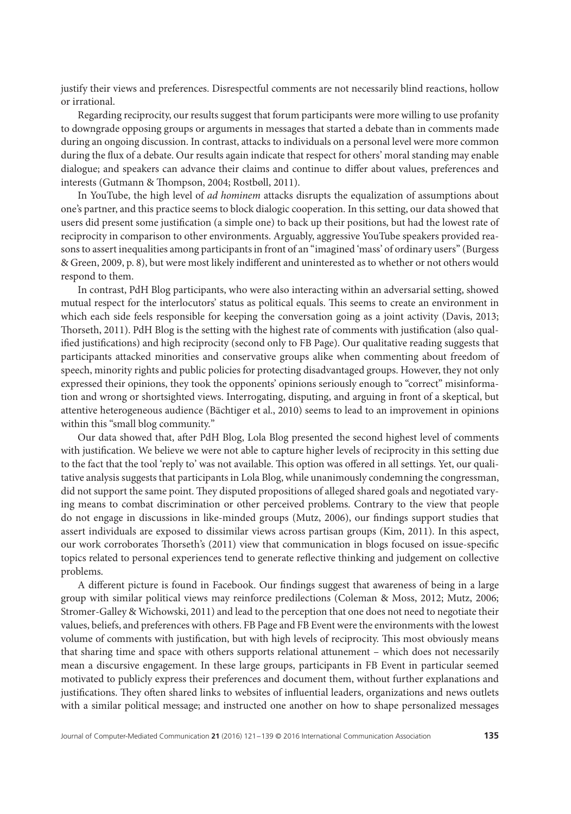justify their views and preferences. Disrespectful comments are not necessarily blind reactions, hollow or irrational.

Regarding reciprocity, our results suggest that forum participants were more willing to use profanity to downgrade opposing groups or arguments in messages that started a debate than in comments made during an ongoing discussion. In contrast, attacks to individuals on a personal level were more common during the flux of a debate. Our results again indicate that respect for others' moral standing may enable dialogue; and speakers can advance their claims and continue to differ about values, preferences and interests (Gutmann & Thompson, 2004; Rostbøll, 2011).

In YouTube, the high level of *ad hominem* attacks disrupts the equalization of assumptions about one's partner, and this practice seems to block dialogic cooperation. In this setting, our data showed that users did present some justification (a simple one) to back up their positions, but had the lowest rate of reciprocity in comparison to other environments. Arguably, aggressive YouTube speakers provided reasons to assert inequalities among participants in front of an "imagined 'mass' of ordinary users" (Burgess & Green, 2009, p. 8), but were most likely indifferent and uninterested as to whether or not others would respond to them.

In contrast, PdH Blog participants, who were also interacting within an adversarial setting, showed mutual respect for the interlocutors' status as political equals. This seems to create an environment in which each side feels responsible for keeping the conversation going as a joint activity (Davis, 2013; Thorseth, 2011). PdH Blog is the setting with the highest rate of comments with justification (also qualified justifications) and high reciprocity (second only to FB Page). Our qualitative reading suggests that participants attacked minorities and conservative groups alike when commenting about freedom of speech, minority rights and public policies for protecting disadvantaged groups. However, they not only expressed their opinions, they took the opponents' opinions seriously enough to "correct" misinformation and wrong or shortsighted views. Interrogating, disputing, and arguing in front of a skeptical, but attentive heterogeneous audience (Bächtiger et al., 2010) seems to lead to an improvement in opinions within this "small blog community."

Our data showed that, after PdH Blog, Lola Blog presented the second highest level of comments with justification. We believe we were not able to capture higher levels of reciprocity in this setting due to the fact that the tool 'reply to' was not available. This option was offered in all settings. Yet, our qualitative analysis suggests that participants in Lola Blog, while unanimously condemning the congressman, did not support the same point. They disputed propositions of alleged shared goals and negotiated varying means to combat discrimination or other perceived problems. Contrary to the view that people do not engage in discussions in like-minded groups (Mutz, 2006), our findings support studies that assert individuals are exposed to dissimilar views across partisan groups (Kim, 2011). In this aspect, our work corroborates Thorseth's (2011) view that communication in blogs focused on issue-specific topics related to personal experiences tend to generate reflective thinking and judgement on collective problems.

A different picture is found in Facebook. Our findings suggest that awareness of being in a large group with similar political views may reinforce predilections (Coleman & Moss, 2012; Mutz, 2006; Stromer-Galley & Wichowski, 2011) and lead to the perception that one does not need to negotiate their values, beliefs, and preferences with others. FB Page and FB Event were the environments with the lowest volume of comments with justification, but with high levels of reciprocity. This most obviously means that sharing time and space with others supports relational attunement – which does not necessarily mean a discursive engagement. In these large groups, participants in FB Event in particular seemed motivated to publicly express their preferences and document them, without further explanations and justifications. They often shared links to websites of influential leaders, organizations and news outlets with a similar political message; and instructed one another on how to shape personalized messages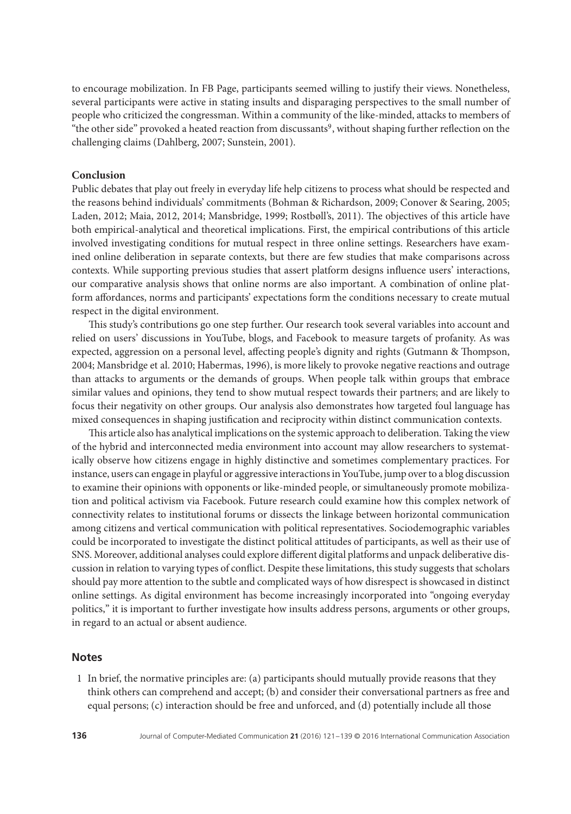to encourage mobilization. In FB Page, participants seemed willing to justify their views. Nonetheless, several participants were active in stating insults and disparaging perspectives to the small number of people who criticized the congressman. Within a community of the like-minded, attacks to members of "the other side" provoked a heated reaction from discussants<sup>9</sup>, without shaping further reflection on the challenging claims (Dahlberg, 2007; Sunstein, 2001).

#### **Conclusion**

Public debates that play out freely in everyday life help citizens to process what should be respected and the reasons behind individuals' commitments (Bohman & Richardson, 2009; Conover & Searing, 2005; Laden, 2012; Maia, 2012, 2014; Mansbridge, 1999; Rostbøll's, 2011). The objectives of this article have both empirical-analytical and theoretical implications. First, the empirical contributions of this article involved investigating conditions for mutual respect in three online settings. Researchers have examined online deliberation in separate contexts, but there are few studies that make comparisons across contexts. While supporting previous studies that assert platform designs influence users' interactions, our comparative analysis shows that online norms are also important. A combination of online platform affordances, norms and participants' expectations form the conditions necessary to create mutual respect in the digital environment.

This study's contributions go one step further. Our research took several variables into account and relied on users' discussions in YouTube, blogs, and Facebook to measure targets of profanity. As was expected, aggression on a personal level, affecting people's dignity and rights (Gutmann & Thompson, 2004; Mansbridge et al. 2010; Habermas, 1996), is more likely to provoke negative reactions and outrage than attacks to arguments or the demands of groups. When people talk within groups that embrace similar values and opinions, they tend to show mutual respect towards their partners; and are likely to focus their negativity on other groups. Our analysis also demonstrates how targeted foul language has mixed consequences in shaping justification and reciprocity within distinct communication contexts.

This article also has analytical implications on the systemic approach to deliberation. Taking the view of the hybrid and interconnected media environment into account may allow researchers to systematically observe how citizens engage in highly distinctive and sometimes complementary practices. For instance, users can engage in playful or aggressive interactions in YouTube, jump over to a blog discussion to examine their opinions with opponents or like-minded people, or simultaneously promote mobilization and political activism via Facebook. Future research could examine how this complex network of connectivity relates to institutional forums or dissects the linkage between horizontal communication among citizens and vertical communication with political representatives. Sociodemographic variables could be incorporated to investigate the distinct political attitudes of participants, as well as their use of SNS. Moreover, additional analyses could explore different digital platforms and unpack deliberative discussion in relation to varying types of conflict. Despite these limitations, this study suggests that scholars should pay more attention to the subtle and complicated ways of how disrespect is showcased in distinct online settings. As digital environment has become increasingly incorporated into "ongoing everyday politics," it is important to further investigate how insults address persons, arguments or other groups, in regard to an actual or absent audience.

#### **Notes**

1 In brief, the normative principles are: (a) participants should mutually provide reasons that they think others can comprehend and accept; (b) and consider their conversational partners as free and equal persons; (c) interaction should be free and unforced, and (d) potentially include all those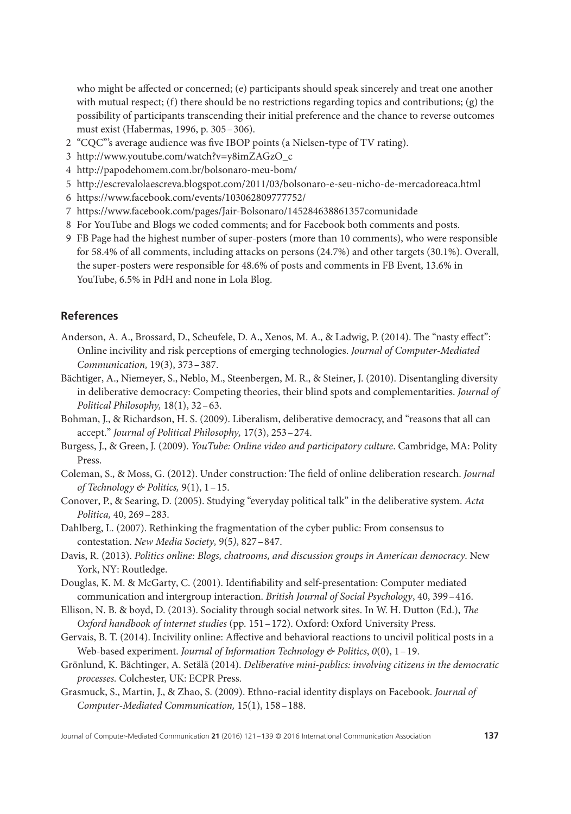who might be affected or concerned; (e) participants should speak sincerely and treat one another with mutual respect; (f) there should be no restrictions regarding topics and contributions; (g) the possibility of participants transcending their initial preference and the chance to reverse outcomes must exist (Habermas, 1996, p. 305–306).

- 2 "CQC"'s average audience was five IBOP points (a Nielsen-type of TV rating).
- 3 http://www.youtube.com/watch?v=y8imZAGzO\_c
- 4 http://papodehomem.com.br/bolsonaro-meu-bom/
- 5 http://escrevalolaescreva.blogspot.com/2011/03/bolsonaro-e-seu-nicho-de-mercadoreaca.html
- 6 https://www.facebook.com/events/103062809777752/
- 7 https://www.facebook.com/pages/Jair-Bolsonaro/145284638861357comunidade
- 8 For YouTube and Blogs we coded comments; and for Facebook both comments and posts.
- 9 FB Page had the highest number of super-posters (more than 10 comments), who were responsible for 58.4% of all comments, including attacks on persons (24.7%) and other targets (30.1%). Overall, the super-posters were responsible for 48.6% of posts and comments in FB Event, 13.6% in YouTube, 6.5% in PdH and none in Lola Blog.

# **References**

- Anderson, A. A., Brossard, D., Scheufele, D. A., Xenos, M. A., & Ladwig, P. (2014). The "nasty effect": Online incivility and risk perceptions of emerging technologies. *Journal of Computer-Mediated Communication,* 19(3), 373–387.
- Bächtiger, A., Niemeyer, S., Neblo, M., Steenbergen, M. R., & Steiner, J. (2010). Disentangling diversity in deliberative democracy: Competing theories, their blind spots and complementarities. *Journal of Political Philosophy,* 18(1), 32–63.
- Bohman, J., & Richardson, H. S. (2009). Liberalism, deliberative democracy, and "reasons that all can accept." *Journal of Political Philosophy,* 17(3), 253–274.
- Burgess, J., & Green, J. (2009). *YouTube: Online video and participatory culture*. Cambridge, MA: Polity Press.
- Coleman, S., & Moss, G. (2012). Under construction: The field of online deliberation research. *Journal of Technology & Politics,* 9(1), 1–15.
- Conover, P., & Searing, D. (2005). Studying "everyday political talk" in the deliberative system. *Acta Politica,* 40, 269–283.
- Dahlberg, L. (2007). Rethinking the fragmentation of the cyber public: From consensus to contestation. *New Media Society,* 9(5*)*, 827–847.
- Davis, R. (2013). *Politics online: Blogs, chatrooms, and discussion groups in American democracy*. New York, NY: Routledge.
- Douglas, K. M. & McGarty, C. (2001). Identifiability and self-presentation: Computer mediated communication and intergroup interaction. *British Journal of Social Psychology*, 40, 399–416.
- Ellison, N. B. & boyd, D. (2013). Sociality through social network sites. In W. H. Dutton (Ed.), *The Oxford handbook of internet studies* (pp. 151–172). Oxford: Oxford University Press.
- Gervais, B. T. (2014). Incivility online: Affective and behavioral reactions to uncivil political posts in a Web-based experiment. *Journal of Information Technology & Politics*, *0*(0), 1–19.
- Grönlund, K. Bächtinger, A. Setälä (2014). *Deliberative mini-publics: involving citizens in the democratic processes.* Colchester, UK: ECPR Press.
- Grasmuck, S., Martin, J., & Zhao, S. (2009). Ethno-racial identity displays on Facebook. *Journal of Computer-Mediated Communication,* 15(1), 158–188.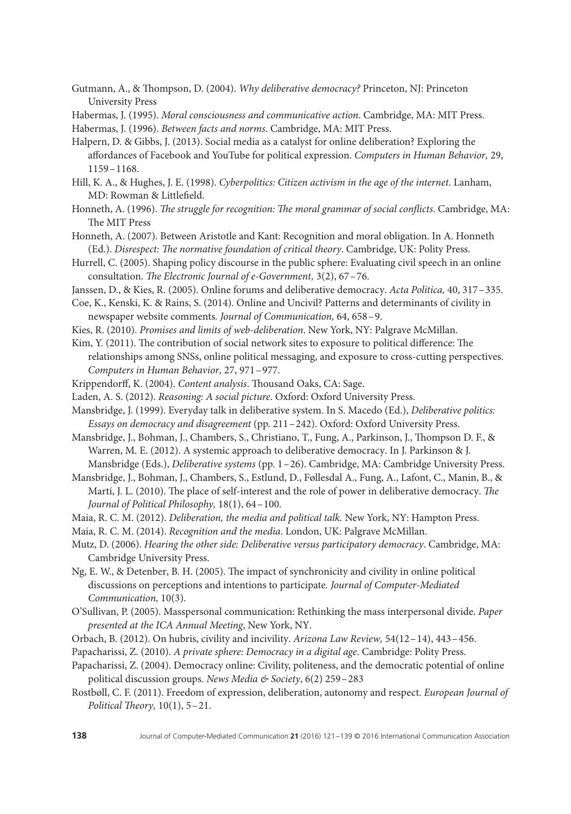Gutmann, A., & Thompson, D. (2004). *Why deliberative democracy?* Princeton, NJ: Princeton University Press

Habermas, J. (1995). *Moral consciousness and communicative action*. Cambridge, MA: MIT Press.

Habermas, J. (1996). *Between facts and norms*. Cambridge, MA: MIT Press.

- Halpern, D. & Gibbs, J. (2013). Social media as a catalyst for online deliberation? Exploring the affordances of Facebook and YouTube for political expression. *Computers in Human Behavior,* 29, 1159–1168.
- Hill, K. A., & Hughes, J. E. (1998). *Cyberpolitics: Citizen activism in the age of the internet*. Lanham, MD: Rowman & Littlefield.
- Honneth, A. (1996). *The struggle for recognition: The moral grammar of social conflicts.* Cambridge, MA: The MIT Press
- Honneth, A. (2007). Between Aristotle and Kant: Recognition and moral obligation. In A. Honneth (Ed.). *Disrespect: The normative foundation of critical theory*. Cambridge, UK: Polity Press.
- Hurrell, C. (2005). Shaping policy discourse in the public sphere: Evaluating civil speech in an online consultation. *The Electronic Journal of e-Government,* 3(2), 67–76.
- Janssen, D., & Kies, R. (2005). Online forums and deliberative democracy. *Acta Politica,* 40, 317–335.
- Coe, K., Kenski, K. & Rains, S. (2014). Online and Uncivil? Patterns and determinants of civility in newspaper website comments*. Journal of Communication,* 64, 658–9.
- Kies, R. (2010). *Promises and limits of web-deliberation*. New York, NY: Palgrave McMillan.
- Kim, Y. (2011). The contribution of social network sites to exposure to political difference: The relationships among SNSs, online political messaging, and exposure to cross-cutting perspectives. *Computers in Human Behavior,* 27, 971–977.
- Krippendorff, K. (2004). *Content analysis*. Thousand Oaks, CA: Sage.
- Laden, A. S. (2012). *Reasoning: A social picture*. Oxford: Oxford University Press.
- Mansbridge, J. (1999). Everyday talk in deliberative system. In S. Macedo (Ed.), *Deliberative politics: Essays on democracy and disagreement* (pp. 211–242). Oxford: Oxford University Press.
- Mansbridge, J., Bohman, J., Chambers, S., Christiano, T., Fung, A., Parkinson, J., Thompson D. F., & Warren, M. E. (2012). A systemic approach to deliberative democracy. In J. Parkinson & J. Mansbridge (Eds.), *Deliberative systems* (pp. 1–26). Cambridge, MA: Cambridge University Press.
- Mansbridge, J., Bohman, J., Chambers, S., Estlund, D., Føllesdal A., Fung, A., Lafont, C., Manin, B., & Martí, J. L. (2010). The place of self-interest and the role of power in deliberative democracy. *The Journal of Political Philosophy,* 18(1), 64–100.
- Maia, R. C. M. (2012). *Deliberation, the media and political talk.* New York, NY: Hampton Press.
- Maia, R. C. M. (2014). *Recognition and the media*. London, UK: Palgrave McMillan.
- Mutz, D. (2006). *Hearing the other side: Deliberative versus participatory democracy*. Cambridge, MA: Cambridge University Press.
- Ng, E. W., & Detenber, B. H. (2005). The impact of synchronicity and civility in online political discussions on perceptions and intentions to participate*. Journal of Computer-Mediated Communication,* 10(3).
- O'Sullivan, P. (2005). Masspersonal communication: Rethinking the mass interpersonal divide. *Paper presented at the ICA Annual Meeting*, New York, NY.
- Orbach, B. (2012). On hubris, civility and incivility. *Arizona Law Review,* 54(12–14), 443–456.
- Papacharissi, Z. (2010). *A private sphere: Democracy in a digital age*. Cambridge: Polity Press.
- Papacharissi, Z. (2004). Democracy online: Civility, politeness, and the democratic potential of online political discussion groups. *News Media & Society*, 6(2) 259–283
- Rostbøll, C. F. (2011). Freedom of expression, deliberation, autonomy and respect. *European Journal of Political Theory,* 10(1), 5–21.